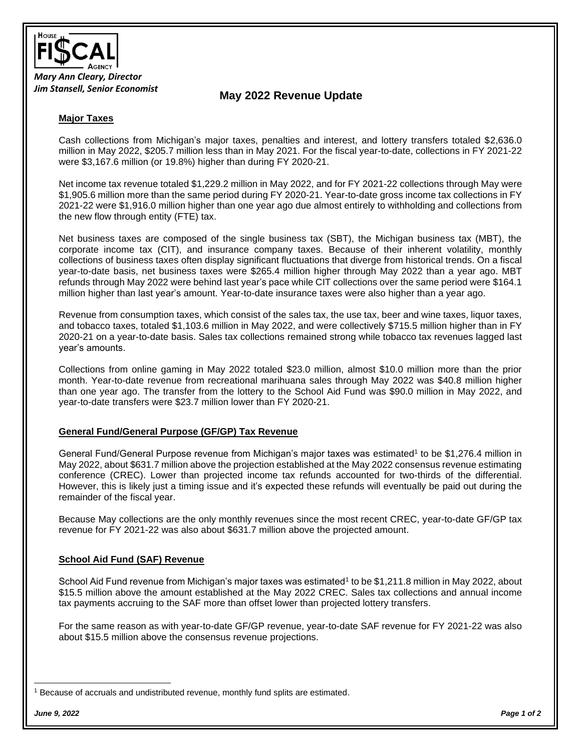

# **May 2022 Revenue Update**

### **Major Taxes**

Cash collections from Michigan's major taxes, penalties and interest, and lottery transfers totaled \$2,636.0 million in May 2022, \$205.7 million less than in May 2021. For the fiscal year-to-date, collections in FY 2021-22 were \$3,167.6 million (or 19.8%) higher than during FY 2020-21.

Net income tax revenue totaled \$1,229.2 million in May 2022, and for FY 2021-22 collections through May were \$1,905.6 million more than the same period during FY 2020-21. Year-to-date gross income tax collections in FY 2021-22 were \$1,916.0 million higher than one year ago due almost entirely to withholding and collections from the new flow through entity (FTE) tax.

Net business taxes are composed of the single business tax (SBT), the Michigan business tax (MBT), the corporate income tax (CIT), and insurance company taxes. Because of their inherent volatility, monthly collections of business taxes often display significant fluctuations that diverge from historical trends. On a fiscal year-to-date basis, net business taxes were \$265.4 million higher through May 2022 than a year ago. MBT refunds through May 2022 were behind last year's pace while CIT collections over the same period were \$164.1 million higher than last year's amount. Year-to-date insurance taxes were also higher than a year ago.

Revenue from consumption taxes, which consist of the sales tax, the use tax, beer and wine taxes, liquor taxes, and tobacco taxes, totaled \$1,103.6 million in May 2022, and were collectively \$715.5 million higher than in FY 2020-21 on a year-to-date basis. Sales tax collections remained strong while tobacco tax revenues lagged last year's amounts.

Collections from online gaming in May 2022 totaled \$23.0 million, almost \$10.0 million more than the prior month. Year-to-date revenue from recreational marihuana sales through May 2022 was \$40.8 million higher than one year ago. The transfer from the lottery to the School Aid Fund was \$90.0 million in May 2022, and year-to-date transfers were \$23.7 million lower than FY 2020-21.

#### **General Fund/General Purpose (GF/GP) Tax Revenue**

General Fund/General Purpose revenue from Michigan's major taxes was estimated<sup>1</sup> to be \$1,276.4 million in May 2022, about \$631.7 million above the projection established at the May 2022 consensus revenue estimating conference (CREC). Lower than projected income tax refunds accounted for two-thirds of the differential. However, this is likely just a timing issue and it's expected these refunds will eventually be paid out during the remainder of the fiscal year.

Because May collections are the only monthly revenues since the most recent CREC, year-to-date GF/GP tax revenue for FY 2021-22 was also about \$631.7 million above the projected amount.

#### **School Aid Fund (SAF) Revenue**

School Aid Fund revenue from Michigan's major taxes was estimated<sup>1</sup> to be \$1,211.8 million in May 2022, about \$15.5 million above the amount established at the May 2022 CREC. Sales tax collections and annual income tax payments accruing to the SAF more than offset lower than projected lottery transfers.

For the same reason as with year-to-date GF/GP revenue, year-to-date SAF revenue for FY 2021-22 was also about \$15.5 million above the consensus revenue projections.

<sup>1</sup> Because of accruals and undistributed revenue, monthly fund splits are estimated.